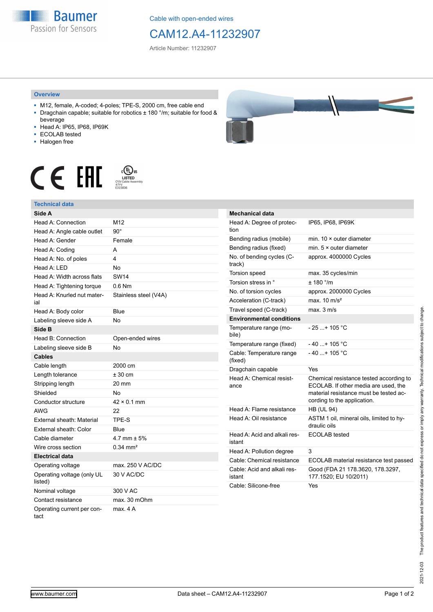**Baumer** Passion for Sensors

Cable with open-ended wires

## CAM12.A4-11232907

Article Number: 11232907

## **Overview**

- M12, female, A-coded; 4-poles; TPE-S, 2000 cm, free cable end ■ Dragchain capable; suitable for robotics ± 180 °/m; suitable for food &
- beverage ■ Head A: IP65, IP68, IP69K
- ECOLAB tested
- 
- Halogen free

## COLUS<br>LISTED<br>CYJV Cable Assem CE EHI





| Mechanical data                        |                                                                                                                                                          |
|----------------------------------------|----------------------------------------------------------------------------------------------------------------------------------------------------------|
| Head A: Degree of protec-<br>tion      | IP65. IP68. IP69K                                                                                                                                        |
| Bending radius (mobile)                | min. 10 × outer diameter                                                                                                                                 |
| Bending radius (fixed)                 | min. $5 \times$ outer diameter                                                                                                                           |
| No. of bending cycles (C-<br>track)    | approx. 4000000 Cycles                                                                                                                                   |
| Torsion speed                          | max. 35 cycles/min                                                                                                                                       |
| Torsion stress in °                    | ± 180 °/m                                                                                                                                                |
| No. of torsion cycles                  | approx. 2000000 Cycles                                                                                                                                   |
| Acceleration (C-track)                 | max. $10 \text{ m/s}^2$                                                                                                                                  |
| Travel speed (C-track)                 | max. 3 m/s                                                                                                                                               |
| <b>Environmental conditions</b>        |                                                                                                                                                          |
| Temperature range (mo-<br>bile)        | $-25$ + 105 °C                                                                                                                                           |
| Temperature range (fixed)              | - 40 + 105 °C                                                                                                                                            |
| Cable: Temperature range<br>(fixed)    | $-40$ + 105 °C                                                                                                                                           |
| Dragchain capable                      | Yes                                                                                                                                                      |
| Head A: Chemical resist-<br>ance       | Chemical resistance tested according to<br>ECOLAB. If other media are used. the<br>material resistance must be tested ac-<br>cording to the application. |
| Head A: Flame resistance               | <b>HB (UL 94)</b>                                                                                                                                        |
| Head A: Oil resistance                 | ASTM 1 oil, mineral oils, limited to hy-<br>draulic oils                                                                                                 |
| Head A: Acid and alkali res-<br>istant | <b>ECOLAB</b> tested                                                                                                                                     |
| Head A: Pollution degree               | 3                                                                                                                                                        |
| Cable: Chemical resistance             | ECOLAB material resistance test passed                                                                                                                   |
| Cable: Acid and alkali res-<br>istant  | Good (FDA 21 178.3620, 178.3297,<br>177.1520; EU 10/2011)                                                                                                |
| Cable: Silicone-free                   | Yes                                                                                                                                                      |